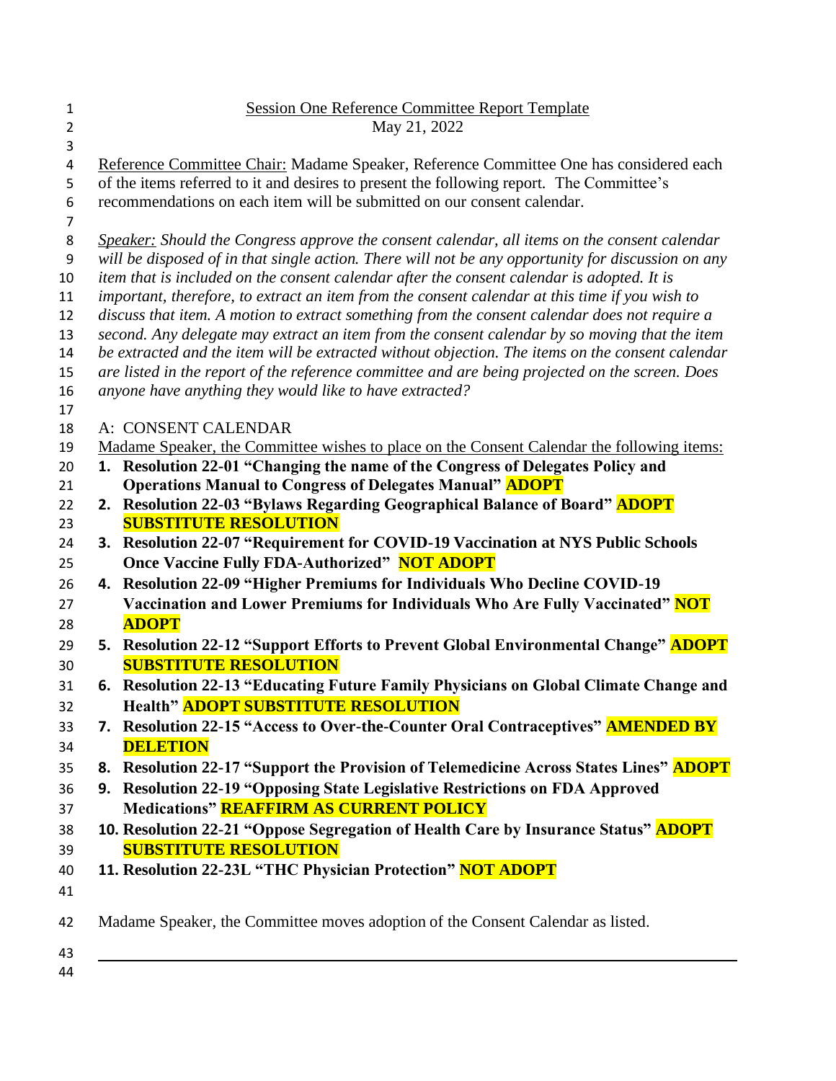| $\mathbf{1}$<br>$\overline{2}$ | <b>Session One Reference Committee Report Template</b><br>May 21, 2022                                                                                                                            |
|--------------------------------|---------------------------------------------------------------------------------------------------------------------------------------------------------------------------------------------------|
| 3                              |                                                                                                                                                                                                   |
| 4                              | Reference Committee Chair: Madame Speaker, Reference Committee One has considered each                                                                                                            |
| 5                              | of the items referred to it and desires to present the following report. The Committee's                                                                                                          |
| 6                              | recommendations on each item will be submitted on our consent calendar.                                                                                                                           |
| 7                              |                                                                                                                                                                                                   |
| 8                              | Speaker: Should the Congress approve the consent calendar, all items on the consent calendar                                                                                                      |
| 9                              | will be disposed of in that single action. There will not be any opportunity for discussion on any                                                                                                |
| 10                             | item that is included on the consent calendar after the consent calendar is adopted. It is                                                                                                        |
| 11                             | important, therefore, to extract an item from the consent calendar at this time if you wish to                                                                                                    |
| 12                             | discuss that item. A motion to extract something from the consent calendar does not require a                                                                                                     |
| 13<br>14                       | second. Any delegate may extract an item from the consent calendar by so moving that the item<br>be extracted and the item will be extracted without objection. The items on the consent calendar |
| 15                             | are listed in the report of the reference committee and are being projected on the screen. Does                                                                                                   |
| 16                             | anyone have anything they would like to have extracted?                                                                                                                                           |
| 17                             | A: CONSENT CALENDAR                                                                                                                                                                               |
| 18<br>19                       | Madame Speaker, the Committee wishes to place on the Consent Calendar the following items:                                                                                                        |
| 20                             | 1. Resolution 22-01 "Changing the name of the Congress of Delegates Policy and                                                                                                                    |
| 21                             | <b>Operations Manual to Congress of Delegates Manual" ADOPT</b>                                                                                                                                   |
| 22                             | 2. Resolution 22-03 "Bylaws Regarding Geographical Balance of Board" <b>ADOPT</b>                                                                                                                 |
| 23                             | <b>SUBSTITUTE RESOLUTION</b>                                                                                                                                                                      |
| 24                             | 3. Resolution 22-07 "Requirement for COVID-19 Vaccination at NYS Public Schools                                                                                                                   |
| 25                             | <b>Once Vaccine Fully FDA-Authorized" NOT ADOPT</b>                                                                                                                                               |
| 26                             | 4. Resolution 22-09 "Higher Premiums for Individuals Who Decline COVID-19                                                                                                                         |
| 27                             | Vaccination and Lower Premiums for Individuals Who Are Fully Vaccinated" NOT                                                                                                                      |
| 28                             | <b>ADOPT</b>                                                                                                                                                                                      |
| 29                             | 5. Resolution 22-12 "Support Efforts to Prevent Global Environmental Change" ADOPT                                                                                                                |
| 30                             | <b>SUBSTITUTE RESOLUTION</b>                                                                                                                                                                      |
| 31                             | 6. Resolution 22-13 "Educating Future Family Physicians on Global Climate Change and                                                                                                              |
| 32                             | <b>Health" ADOPT SUBSTITUTE RESOLUTION</b>                                                                                                                                                        |
| 33                             | 7. Resolution 22-15 "Access to Over-the-Counter Oral Contraceptives" <b>AMENDED BY</b>                                                                                                            |
| 34                             | <b>DELETION</b>                                                                                                                                                                                   |
| 35                             | 8. Resolution 22-17 "Support the Provision of Telemedicine Across States Lines" ADOPT                                                                                                             |
| 36                             | 9. Resolution 22-19 "Opposing State Legislative Restrictions on FDA Approved                                                                                                                      |
| 37                             | <b>Medications" REAFFIRM AS CURRENT POLICY</b>                                                                                                                                                    |
| 38                             | 10. Resolution 22-21 "Oppose Segregation of Health Care by Insurance Status" <b>ADOPT</b>                                                                                                         |
| 39                             | <b>SUBSTITUTE RESOLUTION</b>                                                                                                                                                                      |
| 40                             | 11. Resolution 22-23L "THC Physician Protection" NOT ADOPT                                                                                                                                        |
| 41                             |                                                                                                                                                                                                   |
| 42                             | Madame Speaker, the Committee moves adoption of the Consent Calendar as listed.                                                                                                                   |
|                                |                                                                                                                                                                                                   |
| 43                             |                                                                                                                                                                                                   |
| 44                             |                                                                                                                                                                                                   |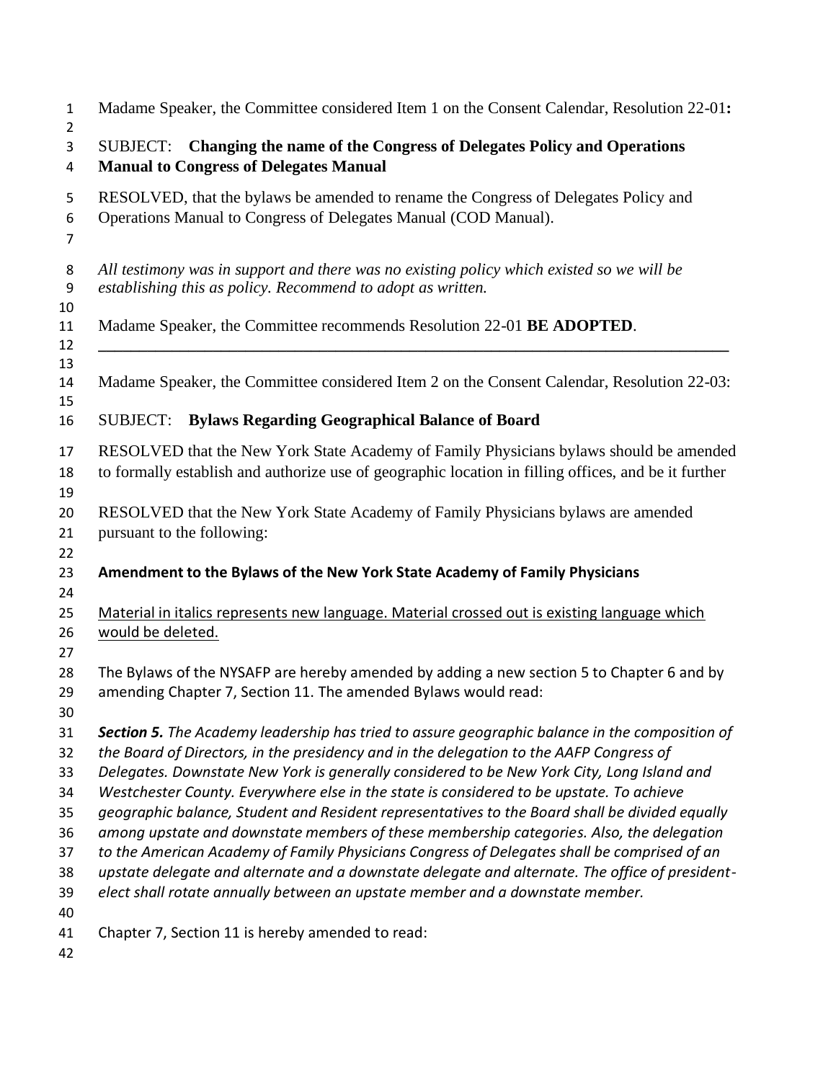| 1                                                        | Madame Speaker, the Committee considered Item 1 on the Consent Calendar, Resolution 22-01:                                                                                                                                                                                                                                                                                                                                                                                                                                                                                                                                                                                                                                                                                                                                                                                  |
|----------------------------------------------------------|-----------------------------------------------------------------------------------------------------------------------------------------------------------------------------------------------------------------------------------------------------------------------------------------------------------------------------------------------------------------------------------------------------------------------------------------------------------------------------------------------------------------------------------------------------------------------------------------------------------------------------------------------------------------------------------------------------------------------------------------------------------------------------------------------------------------------------------------------------------------------------|
| $\overline{2}$<br>3<br>4                                 | Changing the name of the Congress of Delegates Policy and Operations<br>SUBJECT:<br><b>Manual to Congress of Delegates Manual</b>                                                                                                                                                                                                                                                                                                                                                                                                                                                                                                                                                                                                                                                                                                                                           |
| 5<br>6<br>7                                              | RESOLVED, that the bylaws be amended to rename the Congress of Delegates Policy and<br>Operations Manual to Congress of Delegates Manual (COD Manual).                                                                                                                                                                                                                                                                                                                                                                                                                                                                                                                                                                                                                                                                                                                      |
| 8<br>9<br>10                                             | All testimony was in support and there was no existing policy which existed so we will be<br>establishing this as policy. Recommend to adopt as written.                                                                                                                                                                                                                                                                                                                                                                                                                                                                                                                                                                                                                                                                                                                    |
| 11<br>12                                                 | Madame Speaker, the Committee recommends Resolution 22-01 BE ADOPTED.                                                                                                                                                                                                                                                                                                                                                                                                                                                                                                                                                                                                                                                                                                                                                                                                       |
| 13<br>14<br>15                                           | Madame Speaker, the Committee considered Item 2 on the Consent Calendar, Resolution 22-03:                                                                                                                                                                                                                                                                                                                                                                                                                                                                                                                                                                                                                                                                                                                                                                                  |
| 16                                                       | <b>Bylaws Regarding Geographical Balance of Board</b><br>SUBJECT:                                                                                                                                                                                                                                                                                                                                                                                                                                                                                                                                                                                                                                                                                                                                                                                                           |
| 17<br>18                                                 | RESOLVED that the New York State Academy of Family Physicians bylaws should be amended<br>to formally establish and authorize use of geographic location in filling offices, and be it further                                                                                                                                                                                                                                                                                                                                                                                                                                                                                                                                                                                                                                                                              |
| 19<br>20<br>21<br>22                                     | RESOLVED that the New York State Academy of Family Physicians bylaws are amended<br>pursuant to the following:                                                                                                                                                                                                                                                                                                                                                                                                                                                                                                                                                                                                                                                                                                                                                              |
| 23<br>24                                                 | Amendment to the Bylaws of the New York State Academy of Family Physicians                                                                                                                                                                                                                                                                                                                                                                                                                                                                                                                                                                                                                                                                                                                                                                                                  |
| 25<br>26<br>27                                           | Material in italics represents new language. Material crossed out is existing language which<br>would be deleted.                                                                                                                                                                                                                                                                                                                                                                                                                                                                                                                                                                                                                                                                                                                                                           |
| 28<br>29<br>30                                           | The Bylaws of the NYSAFP are hereby amended by adding a new section 5 to Chapter 6 and by<br>amending Chapter 7, Section 11. The amended Bylaws would read:                                                                                                                                                                                                                                                                                                                                                                                                                                                                                                                                                                                                                                                                                                                 |
| 31<br>32<br>33<br>34<br>35<br>36<br>37<br>38<br>39<br>40 | <b>Section 5.</b> The Academy leadership has tried to assure geographic balance in the composition of<br>the Board of Directors, in the presidency and in the delegation to the AAFP Congress of<br>Delegates. Downstate New York is generally considered to be New York City, Long Island and<br>Westchester County. Everywhere else in the state is considered to be upstate. To achieve<br>geographic balance, Student and Resident representatives to the Board shall be divided equally<br>among upstate and downstate members of these membership categories. Also, the delegation<br>to the American Academy of Family Physicians Congress of Delegates shall be comprised of an<br>upstate delegate and alternate and a downstate delegate and alternate. The office of president-<br>elect shall rotate annually between an upstate member and a downstate member. |
| 41<br>42                                                 | Chapter 7, Section 11 is hereby amended to read:                                                                                                                                                                                                                                                                                                                                                                                                                                                                                                                                                                                                                                                                                                                                                                                                                            |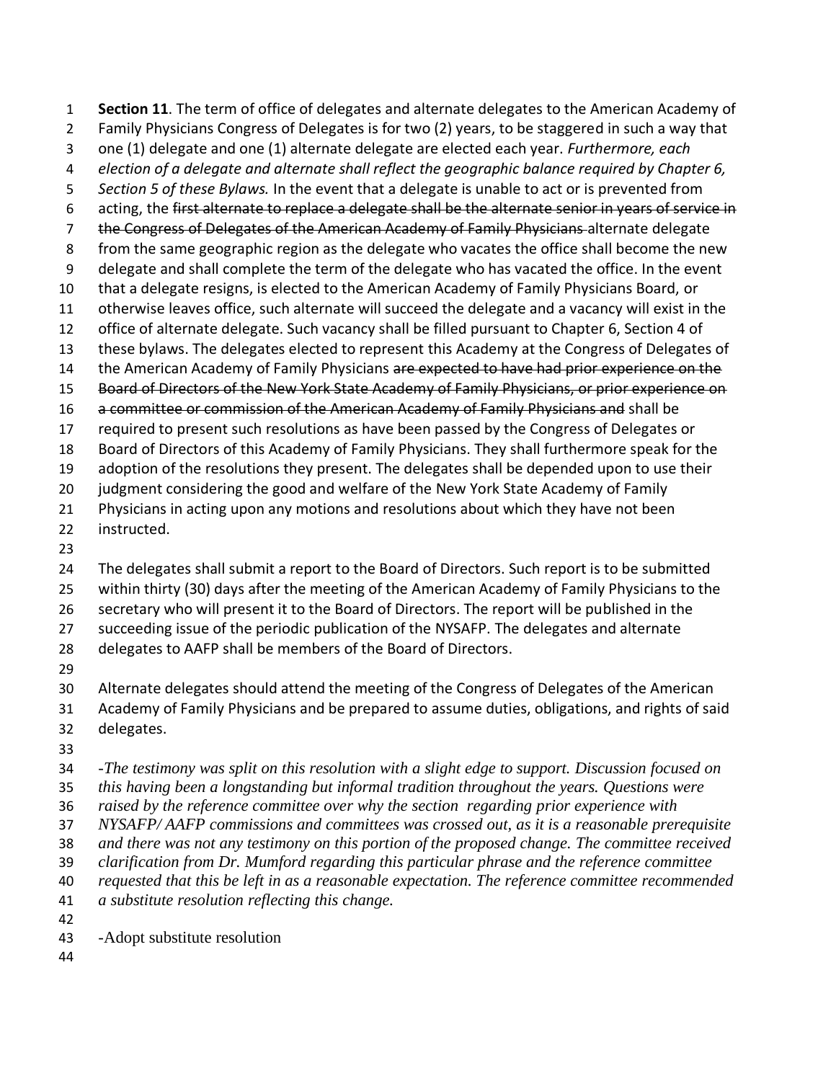**Section 11**. The term of office of delegates and alternate delegates to the American Academy of Family Physicians Congress of Delegates is for two (2) years, to be staggered in such a way that one (1) delegate and one (1) alternate delegate are elected each year. *Furthermore, each election of a delegate and alternate shall reflect the geographic balance required by Chapter 6, Section 5 of these Bylaws.* In the event that a delegate is unable to act or is prevented from acting, the first alternate to replace a delegate shall be the alternate senior in years of service in 7 the Congress of Delegates of the American Academy of Family Physicians alternate delegate from the same geographic region as the delegate who vacates the office shall become the new delegate and shall complete the term of the delegate who has vacated the office. In the event that a delegate resigns, is elected to the American Academy of Family Physicians Board, or otherwise leaves office, such alternate will succeed the delegate and a vacancy will exist in the office of alternate delegate. Such vacancy shall be filled pursuant to Chapter 6, Section 4 of these bylaws. The delegates elected to represent this Academy at the Congress of Delegates of 14 the American Academy of Family Physicians are expected to have had prior experience on the Board of Directors of the New York State Academy of Family Physicians, or prior experience on 16 a committee or commission of the American Academy of Family Physicians and shall be required to present such resolutions as have been passed by the Congress of Delegates or Board of Directors of this Academy of Family Physicians. They shall furthermore speak for the adoption of the resolutions they present. The delegates shall be depended upon to use their judgment considering the good and welfare of the New York State Academy of Family Physicians in acting upon any motions and resolutions about which they have not been instructed. The delegates shall submit a report to the Board of Directors. Such report is to be submitted within thirty (30) days after the meeting of the American Academy of Family Physicians to the secretary who will present it to the Board of Directors. The report will be published in the succeeding issue of the periodic publication of the NYSAFP. The delegates and alternate delegates to AAFP shall be members of the Board of Directors. Alternate delegates should attend the meeting of the Congress of Delegates of the American Academy of Family Physicians and be prepared to assume duties, obligations, and rights of said delegates. *-The testimony was split on this resolution with a slight edge to support. Discussion focused on this having been a longstanding but informal tradition throughout the years. Questions were raised by the reference committee over why the section regarding prior experience with NYSAFP/ AAFP commissions and committees was crossed out, as it is a reasonable prerequisite and there was not any testimony on this portion of the proposed change. The committee received* 

 *clarification from Dr. Mumford regarding this particular phrase and the reference committee requested that this be left in as a reasonable expectation. The reference committee recommended* 

*a substitute resolution reflecting this change.* 

*-*Adopt substitute resolution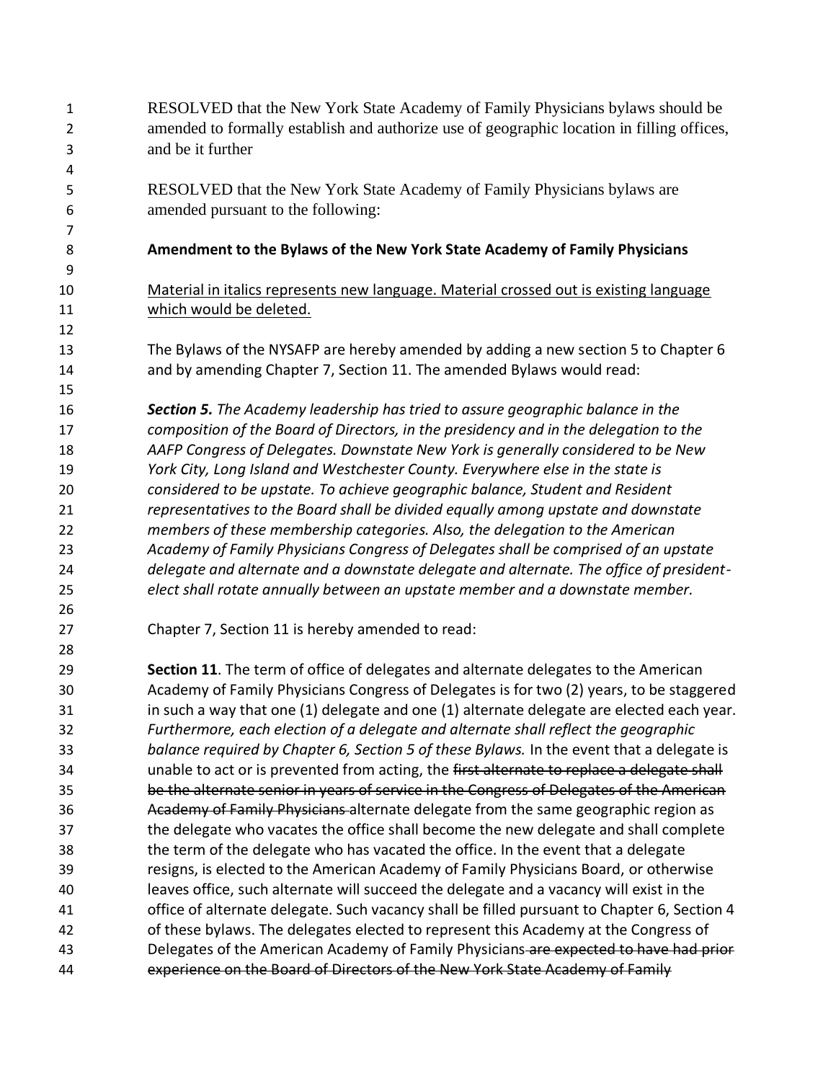RESOLVED that the New York State Academy of Family Physicians bylaws should be amended to formally establish and authorize use of geographic location in filling offices, and be it further RESOLVED that the New York State Academy of Family Physicians bylaws are amended pursuant to the following: **Amendment to the Bylaws of the New York State Academy of Family Physicians** Material in italics represents new language. Material crossed out is existing language which would be deleted. The Bylaws of the NYSAFP are hereby amended by adding a new section 5 to Chapter 6 and by amending Chapter 7, Section 11. The amended Bylaws would read: *Section 5. The Academy leadership has tried to assure geographic balance in the composition of the Board of Directors, in the presidency and in the delegation to the AAFP Congress of Delegates. Downstate New York is generally considered to be New York City, Long Island and Westchester County. Everywhere else in the state is considered to be upstate. To achieve geographic balance, Student and Resident representatives to the Board shall be divided equally among upstate and downstate members of these membership categories. Also, the delegation to the American Academy of Family Physicians Congress of Delegates shall be comprised of an upstate delegate and alternate and a downstate delegate and alternate. The office of president- elect shall rotate annually between an upstate member and a downstate member.*  Chapter 7, Section 11 is hereby amended to read: **Section 11**. The term of office of delegates and alternate delegates to the American Academy of Family Physicians Congress of Delegates is for two (2) years, to be staggered in such a way that one (1) delegate and one (1) alternate delegate are elected each year. *Furthermore, each election of a delegate and alternate shall reflect the geographic balance required by Chapter 6, Section 5 of these Bylaws.* In the event that a delegate is 34 unable to act or is prevented from acting, the first alternate to replace a delegate shall be the alternate senior in years of service in the Congress of Delegates of the American 36 Academy of Family Physicians-alternate delegate from the same geographic region as the delegate who vacates the office shall become the new delegate and shall complete the term of the delegate who has vacated the office. In the event that a delegate resigns, is elected to the American Academy of Family Physicians Board, or otherwise leaves office, such alternate will succeed the delegate and a vacancy will exist in the office of alternate delegate. Such vacancy shall be filled pursuant to Chapter 6, Section 4 of these bylaws. The delegates elected to represent this Academy at the Congress of 43 Delegates of the American Academy of Family Physicians are expected to have had prior 44 experience on the Board of Directors of the New York State Academy of Family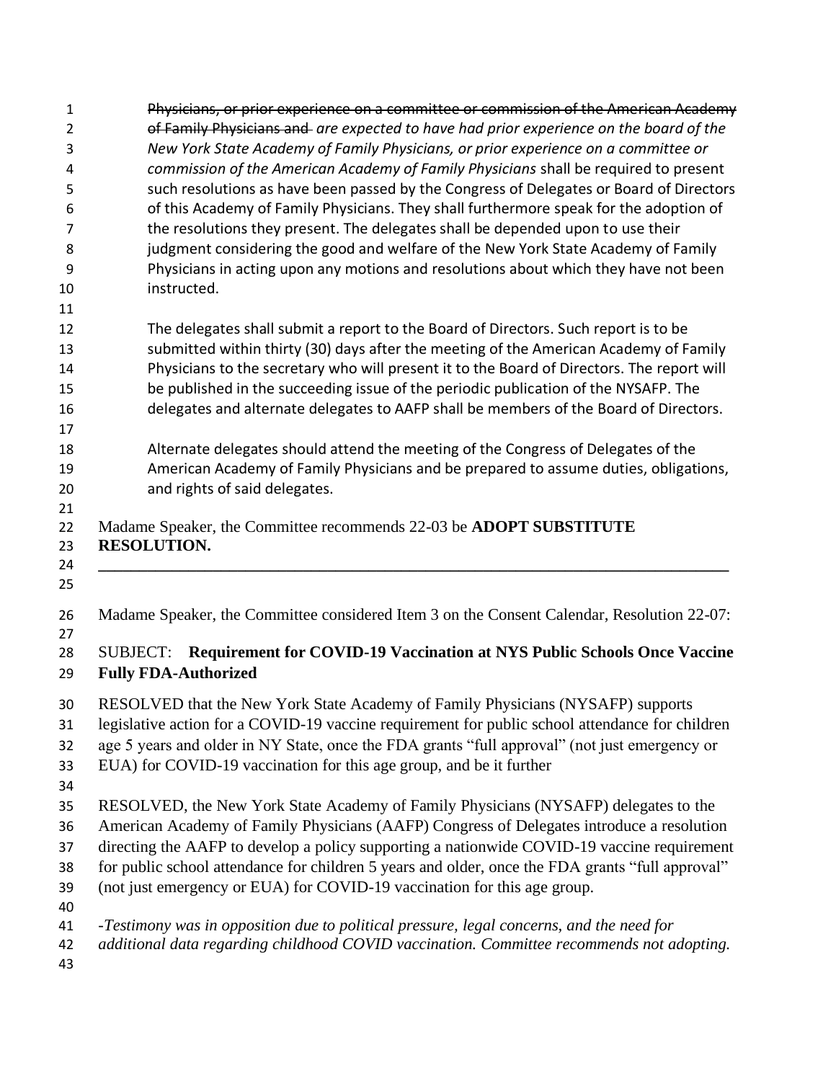| $\mathbf{1}$<br>$\overline{2}$<br>3 | Physicians, or prior experience on a committee or commission of the American Academy<br>of Family Physicians and are expected to have had prior experience on the board of the<br>New York State Academy of Family Physicians, or prior experience on a committee or |
|-------------------------------------|----------------------------------------------------------------------------------------------------------------------------------------------------------------------------------------------------------------------------------------------------------------------|
| 4                                   | commission of the American Academy of Family Physicians shall be required to present                                                                                                                                                                                 |
| 5                                   | such resolutions as have been passed by the Congress of Delegates or Board of Directors                                                                                                                                                                              |
| 6                                   | of this Academy of Family Physicians. They shall furthermore speak for the adoption of                                                                                                                                                                               |
| $\overline{7}$                      | the resolutions they present. The delegates shall be depended upon to use their                                                                                                                                                                                      |
| 8                                   | judgment considering the good and welfare of the New York State Academy of Family                                                                                                                                                                                    |
| 9                                   | Physicians in acting upon any motions and resolutions about which they have not been                                                                                                                                                                                 |
| 10                                  | instructed.                                                                                                                                                                                                                                                          |
| 11                                  |                                                                                                                                                                                                                                                                      |
| 12                                  | The delegates shall submit a report to the Board of Directors. Such report is to be                                                                                                                                                                                  |
| 13                                  | submitted within thirty (30) days after the meeting of the American Academy of Family                                                                                                                                                                                |
| 14                                  | Physicians to the secretary who will present it to the Board of Directors. The report will                                                                                                                                                                           |
| 15                                  | be published in the succeeding issue of the periodic publication of the NYSAFP. The                                                                                                                                                                                  |
| 16                                  | delegates and alternate delegates to AAFP shall be members of the Board of Directors.                                                                                                                                                                                |
| 17                                  |                                                                                                                                                                                                                                                                      |
| 18                                  | Alternate delegates should attend the meeting of the Congress of Delegates of the                                                                                                                                                                                    |
| 19                                  | American Academy of Family Physicians and be prepared to assume duties, obligations,                                                                                                                                                                                 |
| 20<br>21                            | and rights of said delegates.                                                                                                                                                                                                                                        |
| 23<br>24<br>25                      | <b>RESOLUTION.</b>                                                                                                                                                                                                                                                   |
| 26<br>27                            | Madame Speaker, the Committee considered Item 3 on the Consent Calendar, Resolution 22-07:                                                                                                                                                                           |
| 28<br>29                            | <b>Requirement for COVID-19 Vaccination at NYS Public Schools Once Vaccine</b><br><b>SUBJECT:</b><br><b>Fully FDA-Authorized</b>                                                                                                                                     |
| 30                                  | RESOLVED that the New York State Academy of Family Physicians (NYSAFP) supports                                                                                                                                                                                      |
| 31                                  | legislative action for a COVID-19 vaccine requirement for public school attendance for children                                                                                                                                                                      |
| 32                                  | age 5 years and older in NY State, once the FDA grants "full approval" (not just emergency or                                                                                                                                                                        |
| 33                                  | EUA) for COVID-19 vaccination for this age group, and be it further                                                                                                                                                                                                  |
| 34                                  |                                                                                                                                                                                                                                                                      |
| 35                                  | RESOLVED, the New York State Academy of Family Physicians (NYSAFP) delegates to the                                                                                                                                                                                  |
| 36                                  | American Academy of Family Physicians (AAFP) Congress of Delegates introduce a resolution                                                                                                                                                                            |
| 37                                  | directing the AAFP to develop a policy supporting a nationwide COVID-19 vaccine requirement                                                                                                                                                                          |
| 38                                  | for public school attendance for children 5 years and older, once the FDA grants "full approval"                                                                                                                                                                     |
| 39                                  | (not just emergency or EUA) for COVID-19 vaccination for this age group.                                                                                                                                                                                             |
| 40                                  |                                                                                                                                                                                                                                                                      |
| 41                                  | -Testimony was in opposition due to political pressure, legal concerns, and the need for                                                                                                                                                                             |
| 42                                  | additional data regarding childhood COVID vaccination. Committee recommends not adopting.                                                                                                                                                                            |
| 43                                  |                                                                                                                                                                                                                                                                      |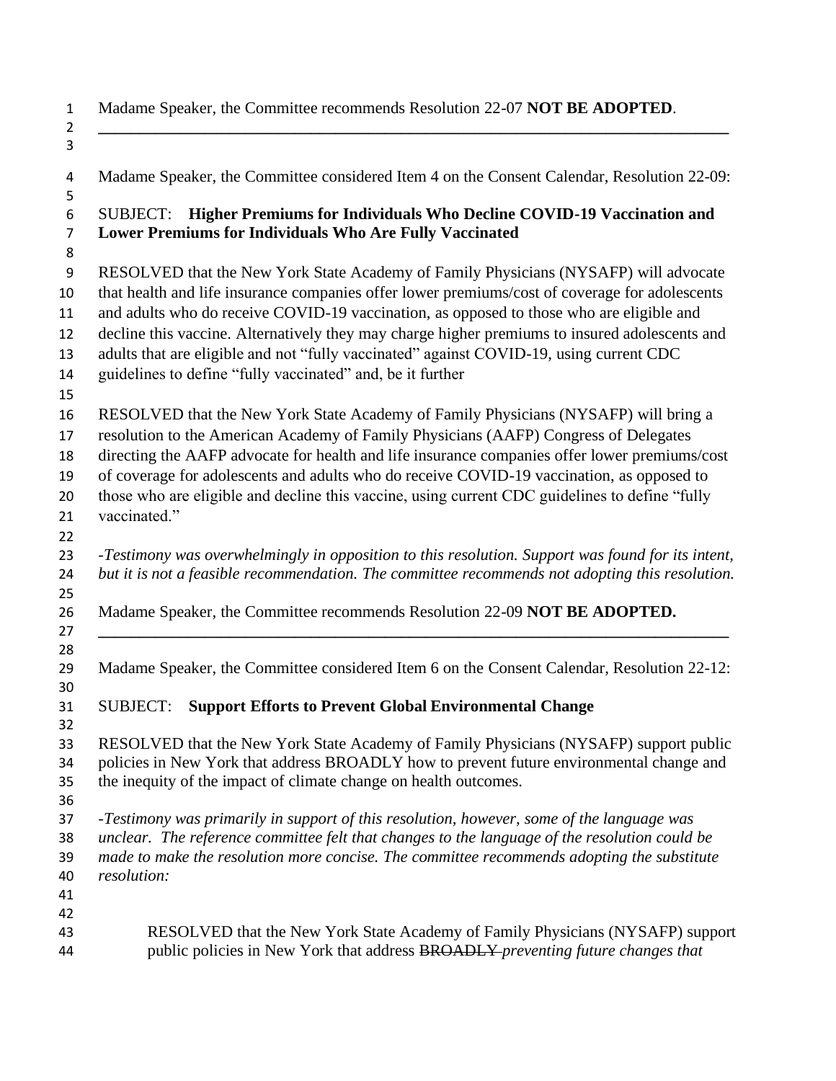Madame Speaker, the Committee recommends Resolution 22-07 **NOT BE ADOPTED**.  $\begin{array}{c} 1 \\ 2 \\ 3 \end{array}$ 

**\_\_\_\_\_\_\_\_\_\_\_\_\_\_\_\_\_\_\_\_\_\_\_\_\_\_\_\_\_\_\_\_\_\_\_\_\_\_\_\_\_\_\_\_\_\_\_\_\_\_\_\_\_\_\_\_\_\_\_\_\_\_\_\_\_\_\_\_\_\_\_\_\_\_\_\_\_**

| 4        | Madame Speaker, the Committee considered Item 4 on the Consent Calendar, Resolution 22-09:                                               |
|----------|------------------------------------------------------------------------------------------------------------------------------------------|
| 5        |                                                                                                                                          |
| 6<br>7   | SUBJECT: Higher Premiums for Individuals Who Decline COVID-19 Vaccination and<br>Lower Premiums for Individuals Who Are Fully Vaccinated |
|          |                                                                                                                                          |
| 8        |                                                                                                                                          |
| 9        | RESOLVED that the New York State Academy of Family Physicians (NYSAFP) will advocate                                                     |
| 10       | that health and life insurance companies offer lower premiums/cost of coverage for adolescents                                           |
| 11       | and adults who do receive COVID-19 vaccination, as opposed to those who are eligible and                                                 |
| 12       | decline this vaccine. Alternatively they may charge higher premiums to insured adolescents and                                           |
| 13       | adults that are eligible and not "fully vaccinated" against COVID-19, using current CDC                                                  |
| 14       | guidelines to define "fully vaccinated" and, be it further                                                                               |
| 15       |                                                                                                                                          |
| 16       | RESOLVED that the New York State Academy of Family Physicians (NYSAFP) will bring a                                                      |
| 17       | resolution to the American Academy of Family Physicians (AAFP) Congress of Delegates                                                     |
| 18       | directing the AAFP advocate for health and life insurance companies offer lower premiums/cost                                            |
| 19       | of coverage for adolescents and adults who do receive COVID-19 vaccination, as opposed to                                                |
| 20       | those who are eligible and decline this vaccine, using current CDC guidelines to define "fully                                           |
| 21       | vaccinated."                                                                                                                             |
| 22       |                                                                                                                                          |
| 23       | -Testimony was overwhelmingly in opposition to this resolution. Support was found for its intent,                                        |
| 24       | but it is not a feasible recommendation. The committee recommends not adopting this resolution.                                          |
| 25<br>26 | Madame Speaker, the Committee recommends Resolution 22-09 NOT BE ADOPTED.                                                                |
| 27       |                                                                                                                                          |
| 28       |                                                                                                                                          |
| 29       | Madame Speaker, the Committee considered Item 6 on the Consent Calendar, Resolution 22-12:                                               |
| 30       |                                                                                                                                          |
| 31       | <b>Support Efforts to Prevent Global Environmental Change</b><br><b>SUBJECT:</b>                                                         |
| 32       |                                                                                                                                          |
| 33       | RESOLVED that the New York State Academy of Family Physicians (NYSAFP) support public                                                    |
| 34       | policies in New York that address BROADLY how to prevent future environmental change and                                                 |
| 35       | the inequity of the impact of climate change on health outcomes.                                                                         |
| 36       |                                                                                                                                          |
| 37       | -Testimony was primarily in support of this resolution, however, some of the language was                                                |
| 38       | unclear. The reference committee felt that changes to the language of the resolution could be                                            |
| 39       | made to make the resolution more concise. The committee recommends adopting the substitute                                               |
| 40       | resolution:                                                                                                                              |
| 41       |                                                                                                                                          |
| 42       | RESOLVED that the New York State Academy of Family Physicians (NYSAFP) support                                                           |
| 43<br>44 | public policies in New York that address BROADLY-preventing future changes that                                                          |
|          |                                                                                                                                          |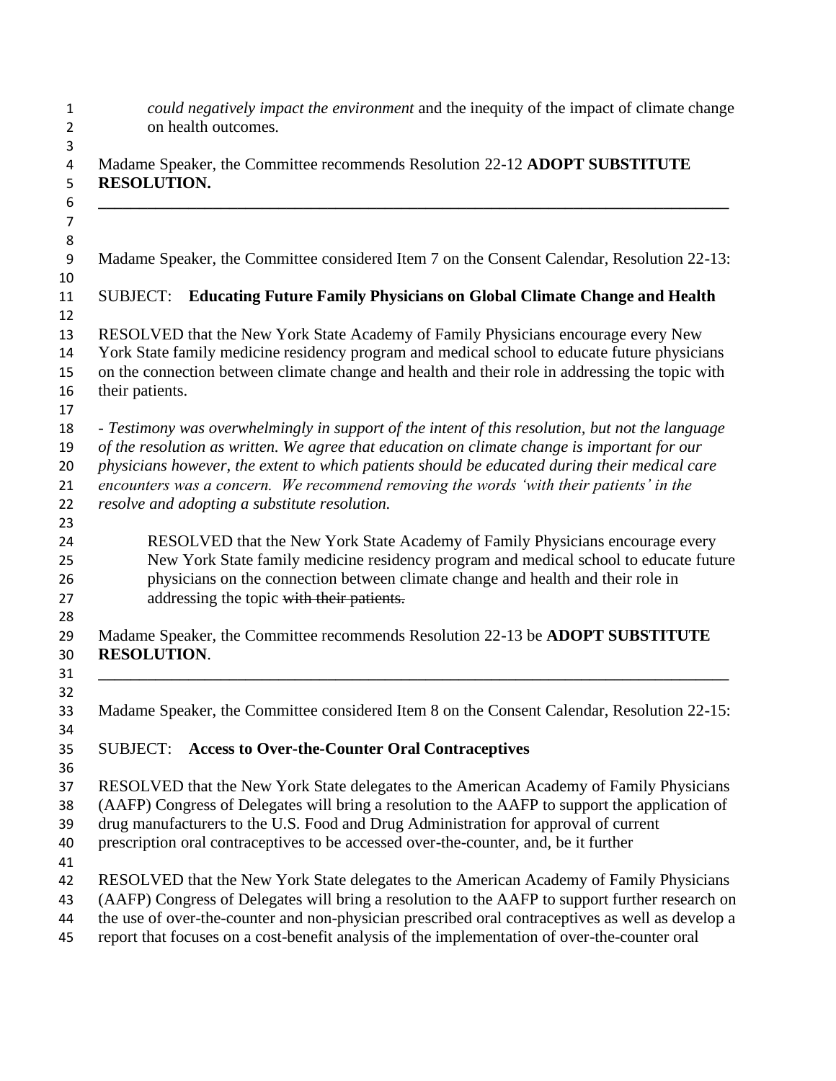| $\mathbf{1}$<br>$\overline{2}$         | could negatively impact the environment and the inequity of the impact of climate change<br>on health outcomes.                                                                                    |
|----------------------------------------|----------------------------------------------------------------------------------------------------------------------------------------------------------------------------------------------------|
| 3<br>$\overline{\mathbf{4}}$<br>5<br>6 | Madame Speaker, the Committee recommends Resolution 22-12 ADOPT SUBSTITUTE<br><b>RESOLUTION.</b>                                                                                                   |
| $\overline{7}$<br>8                    |                                                                                                                                                                                                    |
| 9<br>10                                | Madame Speaker, the Committee considered Item 7 on the Consent Calendar, Resolution 22-13:                                                                                                         |
| 11<br>12                               | <b>Educating Future Family Physicians on Global Climate Change and Health</b><br><b>SUBJECT:</b>                                                                                                   |
| 13                                     | RESOLVED that the New York State Academy of Family Physicians encourage every New                                                                                                                  |
| 14                                     | York State family medicine residency program and medical school to educate future physicians                                                                                                       |
| 15                                     | on the connection between climate change and health and their role in addressing the topic with                                                                                                    |
| 16                                     | their patients.                                                                                                                                                                                    |
| 17<br>18                               | - Testimony was overwhelmingly in support of the intent of this resolution, but not the language                                                                                                   |
| 19                                     | of the resolution as written. We agree that education on climate change is important for our                                                                                                       |
| 20                                     | physicians however, the extent to which patients should be educated during their medical care                                                                                                      |
| 21                                     | encounters was a concern. We recommend removing the words 'with their patients' in the                                                                                                             |
| 22                                     | resolve and adopting a substitute resolution.                                                                                                                                                      |
| 23                                     |                                                                                                                                                                                                    |
| 24<br>25                               | RESOLVED that the New York State Academy of Family Physicians encourage every<br>New York State family medicine residency program and medical school to educate future                             |
| 26                                     | physicians on the connection between climate change and health and their role in                                                                                                                   |
| 27                                     | addressing the topic with their patients.                                                                                                                                                          |
| 28                                     | Madame Speaker, the Committee recommends Resolution 22-13 be ADOPT SUBSTITUTE                                                                                                                      |
| 29<br>30                               | <b>RESOLUTION.</b>                                                                                                                                                                                 |
| 31                                     |                                                                                                                                                                                                    |
| 32                                     |                                                                                                                                                                                                    |
| 33                                     | Madame Speaker, the Committee considered Item 8 on the Consent Calendar, Resolution 22-15:                                                                                                         |
| 34                                     |                                                                                                                                                                                                    |
| 35<br>36                               | <b>Access to Over-the-Counter Oral Contraceptives</b><br><b>SUBJECT:</b>                                                                                                                           |
| 37                                     | RESOLVED that the New York State delegates to the American Academy of Family Physicians                                                                                                            |
| 38                                     | (AAFP) Congress of Delegates will bring a resolution to the AAFP to support the application of                                                                                                     |
| 39                                     | drug manufacturers to the U.S. Food and Drug Administration for approval of current                                                                                                                |
| 40                                     | prescription oral contraceptives to be accessed over-the-counter, and, be it further                                                                                                               |
| 41                                     |                                                                                                                                                                                                    |
| 42                                     | RESOLVED that the New York State delegates to the American Academy of Family Physicians                                                                                                            |
| 43                                     | (AAFP) Congress of Delegates will bring a resolution to the AAFP to support further research on                                                                                                    |
| 44<br>45                               | the use of over-the-counter and non-physician prescribed oral contraceptives as well as develop a<br>report that focuses on a cost-benefit analysis of the implementation of over-the-counter oral |
|                                        |                                                                                                                                                                                                    |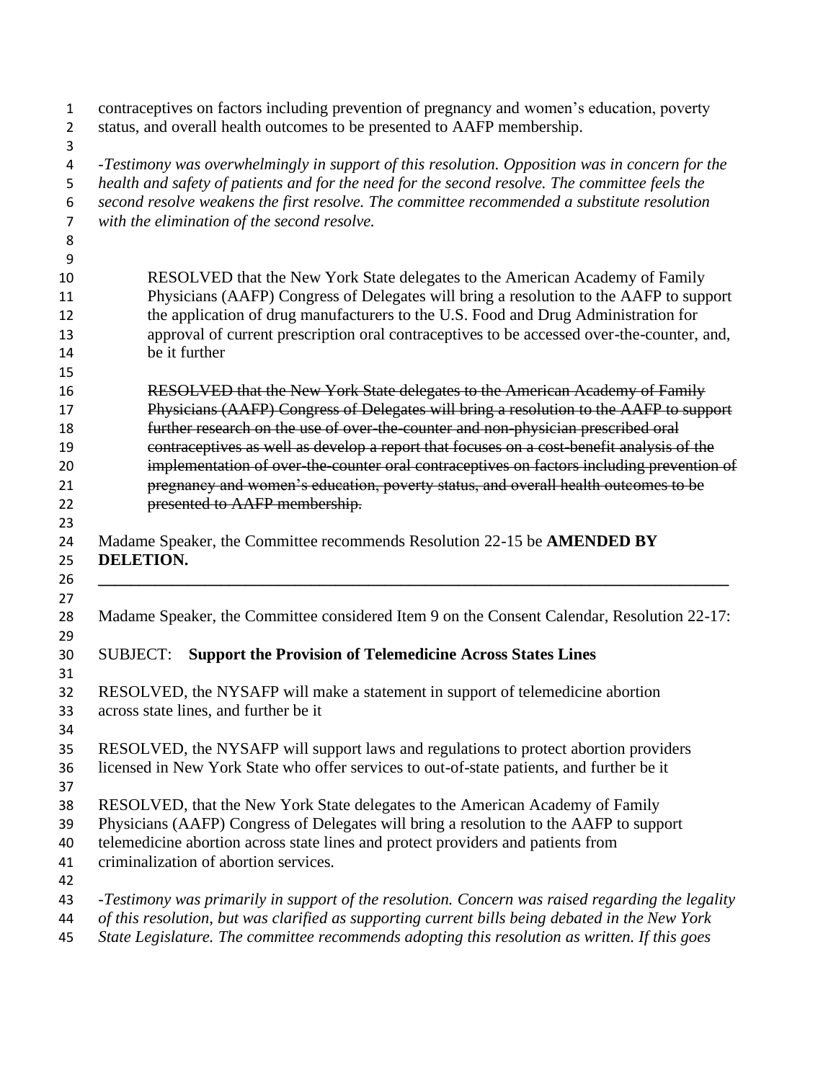| $\mathbf{1}$<br>$\overline{2}$ | contraceptives on factors including prevention of pregnancy and women's education, poverty<br>status, and overall health outcomes to be presented to AAFP membership.                                                                                                                           |
|--------------------------------|-------------------------------------------------------------------------------------------------------------------------------------------------------------------------------------------------------------------------------------------------------------------------------------------------|
| 3<br>$\overline{a}$<br>5<br>6  | -Testimony was overwhelmingly in support of this resolution. Opposition was in concern for the<br>health and safety of patients and for the need for the second resolve. The committee feels the<br>second resolve weakens the first resolve. The committee recommended a substitute resolution |
| 7<br>8                         | with the elimination of the second resolve.                                                                                                                                                                                                                                                     |
| 9                              |                                                                                                                                                                                                                                                                                                 |
| 10                             | RESOLVED that the New York State delegates to the American Academy of Family                                                                                                                                                                                                                    |
| 11<br>12                       | Physicians (AAFP) Congress of Delegates will bring a resolution to the AAFP to support<br>the application of drug manufacturers to the U.S. Food and Drug Administration for                                                                                                                    |
| 13<br>14                       | approval of current prescription oral contraceptives to be accessed over-the-counter, and,<br>be it further                                                                                                                                                                                     |
| 15<br>16                       |                                                                                                                                                                                                                                                                                                 |
|                                | RESOLVED that the New York State delegates to the American Academy of Family<br>Physicians (AAFP) Congress of Delegates will bring a resolution to the AAFP to support                                                                                                                          |
|                                | further research on the use of over-the-counter and non-physician prescribed oral                                                                                                                                                                                                               |
|                                | contraceptives as well as develop a report that focuses on a cost-benefit analysis of the                                                                                                                                                                                                       |
|                                | implementation of over-the-counter oral contraceptives on factors including prevention of<br>pregnancy and women's education, poverty status, and overall health outcomes to be                                                                                                                 |
|                                | presented to AAFP membership.                                                                                                                                                                                                                                                                   |
|                                |                                                                                                                                                                                                                                                                                                 |
|                                | Madame Speaker, the Committee recommends Resolution 22-15 be AMENDED BY<br><b>DELETION.</b>                                                                                                                                                                                                     |
|                                | Madame Speaker, the Committee considered Item 9 on the Consent Calendar, Resolution 22-17:                                                                                                                                                                                                      |
|                                | <b>Support the Provision of Telemedicine Across States Lines</b><br><b>SUBJECT:</b>                                                                                                                                                                                                             |
|                                |                                                                                                                                                                                                                                                                                                 |
|                                | RESOLVED, the NYSAFP will make a statement in support of telemedicine abortion<br>across state lines, and further be it                                                                                                                                                                         |
|                                |                                                                                                                                                                                                                                                                                                 |
|                                | RESOLVED, the NYSAFP will support laws and regulations to protect abortion providers<br>licensed in New York State who offer services to out-of-state patients, and further be it                                                                                                               |
|                                |                                                                                                                                                                                                                                                                                                 |
|                                | RESOLVED, that the New York State delegates to the American Academy of Family<br>Physicians (AAFP) Congress of Delegates will bring a resolution to the AAFP to support                                                                                                                         |
|                                | telemedicine abortion across state lines and protect providers and patients from                                                                                                                                                                                                                |
|                                | criminalization of abortion services.                                                                                                                                                                                                                                                           |
|                                |                                                                                                                                                                                                                                                                                                 |
|                                | -Testimony was primarily in support of the resolution. Concern was raised regarding the legality<br>of this resolution, but was clarified as supporting current bills being debated in the New York                                                                                             |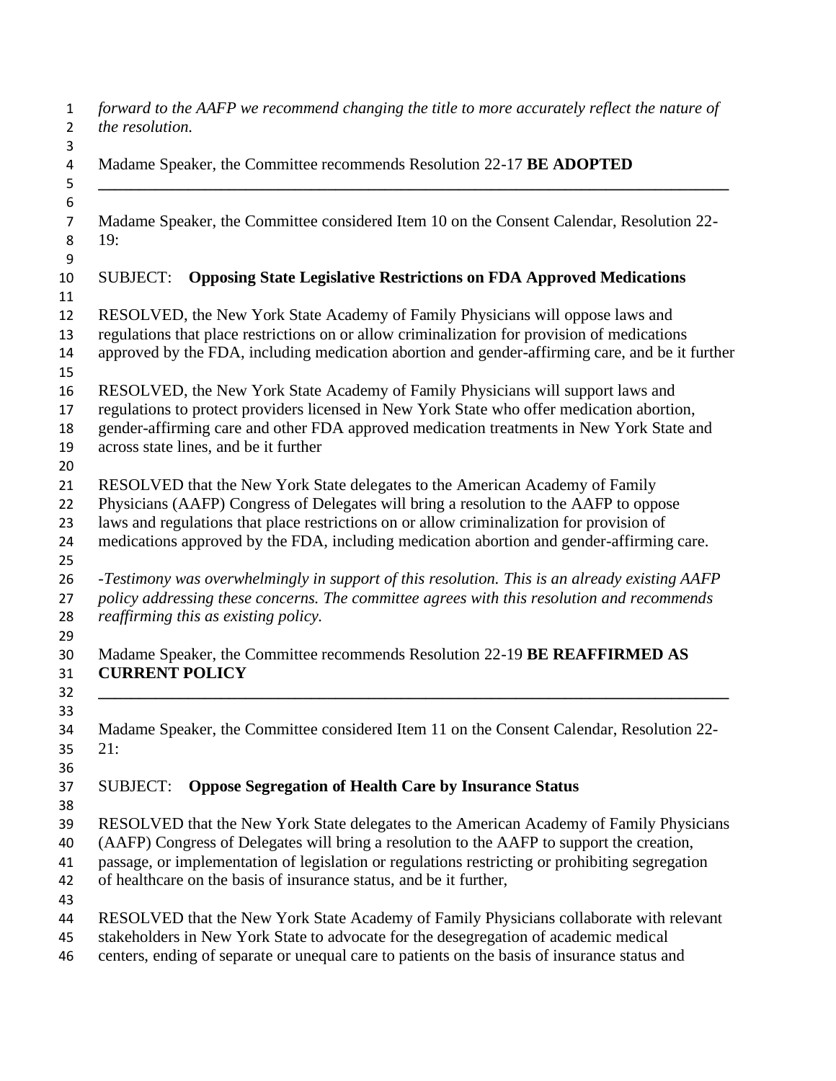| $\mathbf{1}$<br>$\overline{2}$    | forward to the AAFP we recommend changing the title to more accurately reflect the nature of<br>the resolution.                                                                                                                                                                                                                                                 |
|-----------------------------------|-----------------------------------------------------------------------------------------------------------------------------------------------------------------------------------------------------------------------------------------------------------------------------------------------------------------------------------------------------------------|
| 3<br>$\overline{\mathbf{4}}$<br>5 | Madame Speaker, the Committee recommends Resolution 22-17 BE ADOPTED                                                                                                                                                                                                                                                                                            |
| 6<br>$\overline{7}$<br>8          | Madame Speaker, the Committee considered Item 10 on the Consent Calendar, Resolution 22-<br>19:                                                                                                                                                                                                                                                                 |
| 9<br>10                           | <b>SUBJECT:</b><br><b>Opposing State Legislative Restrictions on FDA Approved Medications</b>                                                                                                                                                                                                                                                                   |
| 11<br>12<br>13<br>14              | RESOLVED, the New York State Academy of Family Physicians will oppose laws and<br>regulations that place restrictions on or allow criminalization for provision of medications<br>approved by the FDA, including medication abortion and gender-affirming care, and be it further                                                                               |
| 15<br>16<br>17<br>18<br>19        | RESOLVED, the New York State Academy of Family Physicians will support laws and<br>regulations to protect providers licensed in New York State who offer medication abortion,<br>gender-affirming care and other FDA approved medication treatments in New York State and<br>across state lines, and be it further                                              |
| 20<br>21<br>22<br>23<br>24        | RESOLVED that the New York State delegates to the American Academy of Family<br>Physicians (AAFP) Congress of Delegates will bring a resolution to the AAFP to oppose<br>laws and regulations that place restrictions on or allow criminalization for provision of<br>medications approved by the FDA, including medication abortion and gender-affirming care. |
| 25<br>26<br>27<br>28              | -Testimony was overwhelmingly in support of this resolution. This is an already existing AAFP<br>policy addressing these concerns. The committee agrees with this resolution and recommends<br>reaffirming this as existing policy.                                                                                                                             |
| 29<br>30<br>31<br>32              | Madame Speaker, the Committee recommends Resolution 22-19 BE REAFFIRMED AS<br><b>CURRENT POLICY</b>                                                                                                                                                                                                                                                             |
| 33<br>34<br>35<br>36              | Madame Speaker, the Committee considered Item 11 on the Consent Calendar, Resolution 22-<br>21:                                                                                                                                                                                                                                                                 |
| 37<br>38                          | <b>Oppose Segregation of Health Care by Insurance Status</b><br><b>SUBJECT:</b>                                                                                                                                                                                                                                                                                 |
| 39<br>40<br>41<br>42              | RESOLVED that the New York State delegates to the American Academy of Family Physicians<br>(AAFP) Congress of Delegates will bring a resolution to the AAFP to support the creation,<br>passage, or implementation of legislation or regulations restricting or prohibiting segregation<br>of healthcare on the basis of insurance status, and be it further,   |
| 43<br>44<br>45<br>46              | RESOLVED that the New York State Academy of Family Physicians collaborate with relevant<br>stakeholders in New York State to advocate for the desegregation of academic medical<br>centers, ending of separate or unequal care to patients on the basis of insurance status and                                                                                 |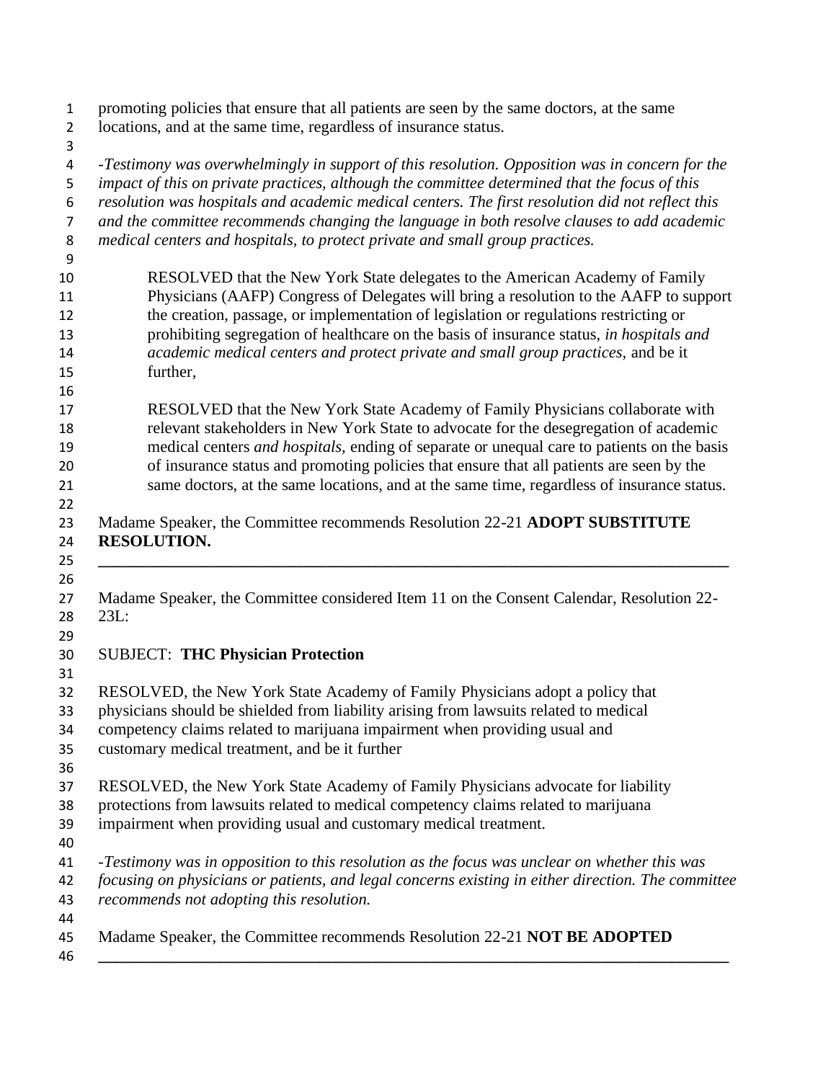| promoting policies that ensure that all patients are seen by the same doctors, at the same<br>locations, and at the same time, regardless of insurance status.                |
|-------------------------------------------------------------------------------------------------------------------------------------------------------------------------------|
|                                                                                                                                                                               |
| -Testimony was overwhelmingly in support of this resolution. Opposition was in concern for the                                                                                |
| impact of this on private practices, although the committee determined that the focus of this                                                                                 |
| resolution was hospitals and academic medical centers. The first resolution did not reflect this                                                                              |
| and the committee recommends changing the language in both resolve clauses to add academic                                                                                    |
| medical centers and hospitals, to protect private and small group practices.                                                                                                  |
|                                                                                                                                                                               |
| RESOLVED that the New York State delegates to the American Academy of Family                                                                                                  |
| Physicians (AAFP) Congress of Delegates will bring a resolution to the AAFP to support                                                                                        |
| the creation, passage, or implementation of legislation or regulations restricting or                                                                                         |
| prohibiting segregation of healthcare on the basis of insurance status, in hospitals and<br>academic medical centers and protect private and small group practices, and be it |
| further,                                                                                                                                                                      |
|                                                                                                                                                                               |
| RESOLVED that the New York State Academy of Family Physicians collaborate with                                                                                                |
| relevant stakeholders in New York State to advocate for the desegregation of academic                                                                                         |
| medical centers <i>and hospitals</i> , ending of separate or unequal care to patients on the basis                                                                            |
| of insurance status and promoting policies that ensure that all patients are seen by the                                                                                      |
| same doctors, at the same locations, and at the same time, regardless of insurance status.                                                                                    |
| <b>RESOLUTION.</b>                                                                                                                                                            |
| Madame Speaker, the Committee considered Item 11 on the Consent Calendar, Resolution 22-<br>23L:                                                                              |
| <b>SUBJECT: THC Physician Protection</b>                                                                                                                                      |
| RESOLVED, the New York State Academy of Family Physicians adopt a policy that                                                                                                 |
| physicians should be shielded from liability arising from lawsuits related to medical                                                                                         |
| competency claims related to marijuana impairment when providing usual and                                                                                                    |
| customary medical treatment, and be it further                                                                                                                                |
| RESOLVED, the New York State Academy of Family Physicians advocate for liability                                                                                              |
| protections from lawsuits related to medical competency claims related to marijuana                                                                                           |
| impairment when providing usual and customary medical treatment.                                                                                                              |
|                                                                                                                                                                               |
| -Testimony was in opposition to this resolution as the focus was unclear on whether this was                                                                                  |
| focusing on physicians or patients, and legal concerns existing in either direction. The committee                                                                            |
| recommends not adopting this resolution.                                                                                                                                      |
|                                                                                                                                                                               |
| Madame Speaker, the Committee recommends Resolution 22-21 NOT BE ADOPTED                                                                                                      |